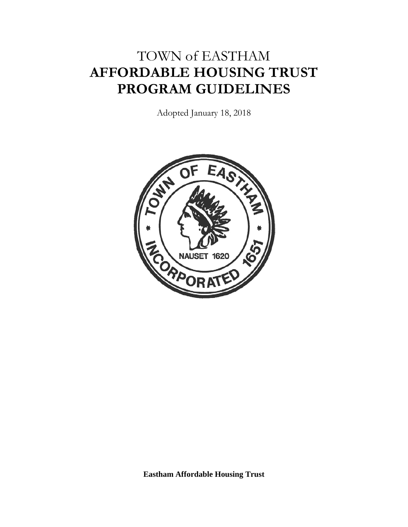# TOWN of EASTHAM **AFFORDABLE HOUSING TRUST PROGRAM GUIDELINES**

Adopted January 18, 2018



**Eastham Affordable Housing Trust**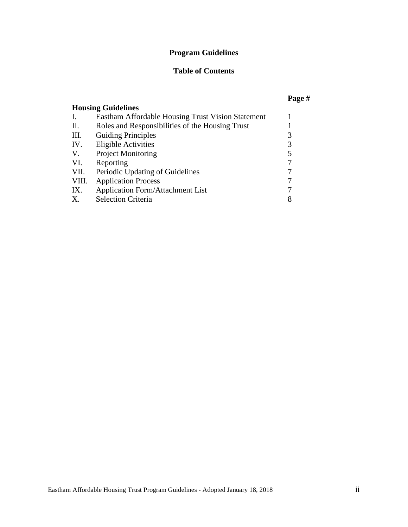#### **Program Guidelines**

#### **Table of Contents**

#### **Page # Housing Guidelines** I. Eastham Affordable Housing Trust Vision Statement 1 II. Roles and Responsibilities of the Housing Trust 1<br>III. Guiding Principles 3 III. Guiding Principles 3<br>IV. Eligible Activities 3 Eligible Activities 3<br>Project Monitoring 5 V. Project Monitoring 5<br>VI. Reporting 7 VI. Reporting VII. Periodic Updating of Guidelines 7<br>VIII. Application Process 7 VIII. Application Process 7<br>IX. Application Form/Attachment List 7 IX. Application Form/Attachment List 7<br>
X. Selection Criteria 8 X. Selection Criteria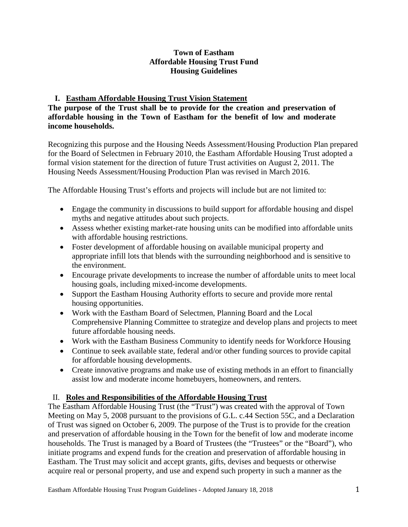### **Town of Eastham Affordable Housing Trust Fund Housing Guidelines**

# **I. Eastham Affordable Housing Trust Vision Statement**

### **The purpose of the Trust shall be to provide for the creation and preservation of affordable housing in the Town of Eastham for the benefit of low and moderate income households.**

Recognizing this purpose and the Housing Needs Assessment/Housing Production Plan prepared for the Board of Selectmen in February 2010, the Eastham Affordable Housing Trust adopted a formal vision statement for the direction of future Trust activities on August 2, 2011. The Housing Needs Assessment/Housing Production Plan was revised in March 2016.

The Affordable Housing Trust's efforts and projects will include but are not limited to:

- Engage the community in discussions to build support for affordable housing and dispel myths and negative attitudes about such projects.
- Assess whether existing market-rate housing units can be modified into affordable units with affordable housing restrictions.
- Foster development of affordable housing on available municipal property and appropriate infill lots that blends with the surrounding neighborhood and is sensitive to the environment.
- Encourage private developments to increase the number of affordable units to meet local housing goals, including mixed-income developments.
- Support the Eastham Housing Authority efforts to secure and provide more rental housing opportunities.
- Work with the Eastham Board of Selectmen, Planning Board and the Local Comprehensive Planning Committee to strategize and develop plans and projects to meet future affordable housing needs.
- Work with the Eastham Business Community to identify needs for Workforce Housing
- Continue to seek available state, federal and/or other funding sources to provide capital for affordable housing developments.
- Create innovative programs and make use of existing methods in an effort to financially assist low and moderate income homebuyers, homeowners, and renters.

# II. **Roles and Responsibilities of the Affordable Housing Trust**

The Eastham Affordable Housing Trust (the "Trust") was created with the approval of Town Meeting on May 5, 2008 pursuant to the provisions of G.L. c.44 Section 55C, and a Declaration of Trust was signed on October 6, 2009. The purpose of the Trust is to provide for the creation and preservation of affordable housing in the Town for the benefit of low and moderate income households. The Trust is managed by a Board of Trustees (the "Trustees" or the "Board"), who initiate programs and expend funds for the creation and preservation of affordable housing in Eastham. The Trust may solicit and accept grants, gifts, devises and bequests or otherwise acquire real or personal property, and use and expend such property in such a manner as the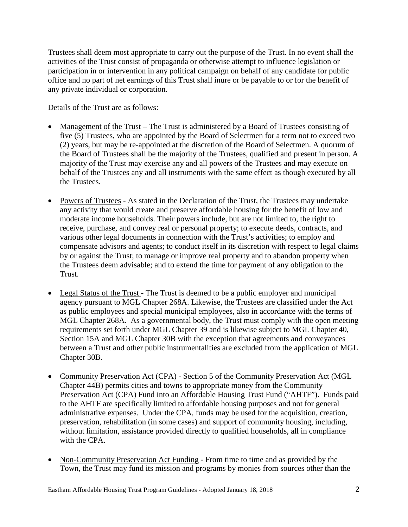Trustees shall deem most appropriate to carry out the purpose of the Trust. In no event shall the activities of the Trust consist of propaganda or otherwise attempt to influence legislation or participation in or intervention in any political campaign on behalf of any candidate for public office and no part of net earnings of this Trust shall inure or be payable to or for the benefit of any private individual or corporation.

Details of the Trust are as follows:

- Management of the Trust The Trust is administered by a Board of Trustees consisting of five (5) Trustees, who are appointed by the Board of Selectmen for a term not to exceed two (2) years, but may be re-appointed at the discretion of the Board of Selectmen. A quorum of the Board of Trustees shall be the majority of the Trustees, qualified and present in person. A majority of the Trust may exercise any and all powers of the Trustees and may execute on behalf of the Trustees any and all instruments with the same effect as though executed by all the Trustees.
- Powers of Trustees As stated in the Declaration of the Trust, the Trustees may undertake any activity that would create and preserve affordable housing for the benefit of low and moderate income households. Their powers include, but are not limited to, the right to receive, purchase, and convey real or personal property; to execute deeds, contracts, and various other legal documents in connection with the Trust's activities; to employ and compensate advisors and agents; to conduct itself in its discretion with respect to legal claims by or against the Trust; to manage or improve real property and to abandon property when the Trustees deem advisable; and to extend the time for payment of any obligation to the Trust.
- Legal Status of the Trust The Trust is deemed to be a public employer and municipal agency pursuant to MGL Chapter 268A. Likewise, the Trustees are classified under the Act as public employees and special municipal employees, also in accordance with the terms of MGL Chapter 268A. As a governmental body, the Trust must comply with the open meeting requirements set forth under MGL Chapter 39 and is likewise subject to MGL Chapter 40, Section 15A and MGL Chapter 30B with the exception that agreements and conveyances between a Trust and other public instrumentalities are excluded from the application of MGL Chapter 30B.
- Community Preservation Act (CPA) Section 5 of the Community Preservation Act (MGL Chapter 44B) permits cities and towns to appropriate money from the Community Preservation Act (CPA) Fund into an Affordable Housing Trust Fund ("AHTF"). Funds paid to the AHTF are specifically limited to affordable housing purposes and not for general administrative expenses. Under the CPA, funds may be used for the acquisition, creation, preservation, rehabilitation (in some cases) and support of community housing, including, without limitation, assistance provided directly to qualified households, all in compliance with the CPA.
- Non-Community Preservation Act Funding From time to time and as provided by the Town, the Trust may fund its mission and programs by monies from sources other than the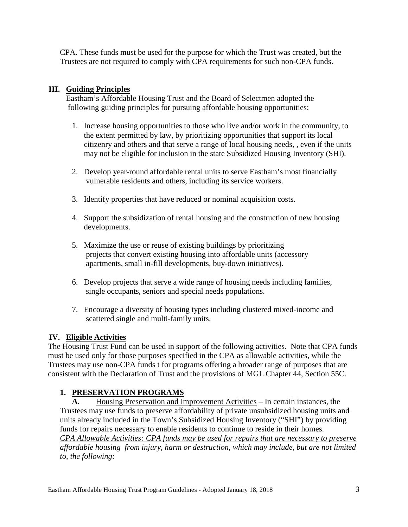CPA. These funds must be used for the purpose for which the Trust was created, but the Trustees are not required to comply with CPA requirements for such non-CPA funds.

## **III. Guiding Principles**

 Eastham's Affordable Housing Trust and the Board of Selectmen adopted the following guiding principles for pursuing affordable housing opportunities:

- 1. Increase housing opportunities to those who live and/or work in the community, to the extent permitted by law, by prioritizing opportunities that support its local citizenry and others and that serve a range of local housing needs, , even if the units may not be eligible for inclusion in the state Subsidized Housing Inventory (SHI).
- 2. Develop year-round affordable rental units to serve Eastham's most financially vulnerable residents and others, including its service workers.
- 3. Identify properties that have reduced or nominal acquisition costs.
- 4. Support the subsidization of rental housing and the construction of new housing developments.
- 5. Maximize the use or reuse of existing buildings by prioritizing projects that convert existing housing into affordable units (accessory apartments, small in-fill developments, buy-down initiatives).
- 6. Develop projects that serve a wide range of housing needs including families, single occupants, seniors and special needs populations.
- 7. Encourage a diversity of housing types including clustered mixed-income and scattered single and multi-family units.

# **IV. Eligible Activities**

The Housing Trust Fund can be used in support of the following activities. Note that CPA funds must be used only for those purposes specified in the CPA as allowable activities, while the Trustees may use non-CPA funds t for programs offering a broader range of purposes that are consistent with the Declaration of Trust and the provisions of MGL Chapter 44, Section 55C.

# **1. PRESERVATION PROGRAMS**

**A***.* Housing Preservation and Improvement Activities – In certain instances, the Trustees may use funds to preserve affordability of private unsubsidized housing units and units already included in the Town's Subsidized Housing Inventory ("SHI") by providing funds for repairs necessary to enable residents to continue to reside in their homes. *CPA Allowable Activities: CPA funds may be used for repairs that are necessary to preserve affordable housing from injury, harm or destruction, which may include, but are not limited to, the following:*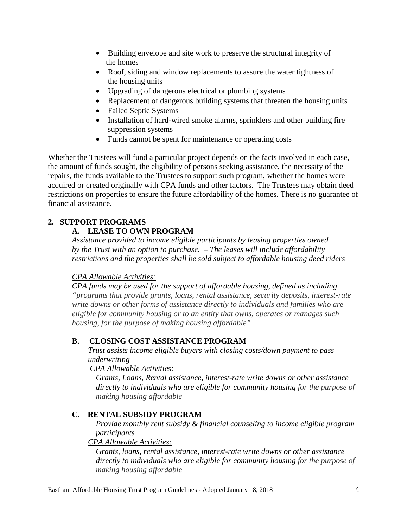- Building envelope and site work to preserve the structural integrity of the homes
- Roof, siding and window replacements to assure the water tightness of the housing units
- Upgrading of dangerous electrical or plumbing systems
- Replacement of dangerous building systems that threaten the housing units
- Failed Septic Systems
- Installation of hard-wired smoke alarms, sprinklers and other building fire suppression systems
- Funds cannot be spent for maintenance or operating costs

Whether the Trustees will fund a particular project depends on the facts involved in each case, the amount of funds sought, the eligibility of persons seeking assistance, the necessity of the repairs, the funds available to the Trustees to support such program, whether the homes were acquired or created originally with CPA funds and other factors. The Trustees may obtain deed restrictions on properties to ensure the future affordability of the homes. There is no guarantee of financial assistance.

#### **2. SUPPORT PROGRAMS**

#### **A. LEASE TO OWN PROGRAM**

*Assistance provided to income eligible participants by leasing properties owned by the Trust with an option to purchase. – The leases will include affordability restrictions and the properties shall be sold subject to affordable housing deed riders*

#### *CPA Allowable Activities:*

*CPA funds may be used for the support of affordable housing, defined as including "programs that provide grants, loans, rental assistance, security deposits, interest-rate write downs or other forms of assistance directly to individuals and families who are eligible for community housing or to an entity that owns, operates or manages such housing, for the purpose of making housing affordable"*

#### **B. CLOSING COST ASSISTANCE PROGRAM**

*Trust assists income eligible buyers with closing costs/down payment to pass underwriting*

 *CPA Allowable Activities:*

*Grants, Loans, Rental assistance, interest-rate write downs or other assistance directly to individuals who are eligible for community housing for the purpose of making housing affordable*

#### **C. RENTAL SUBSIDY PROGRAM**

*Provide monthly rent subsidy & financial counseling to income eligible program participants*

#### *CPA Allowable Activities:*

*Grants, loans, rental assistance, interest-rate write downs or other assistance directly to individuals who are eligible for community housing for the purpose of making housing affordable*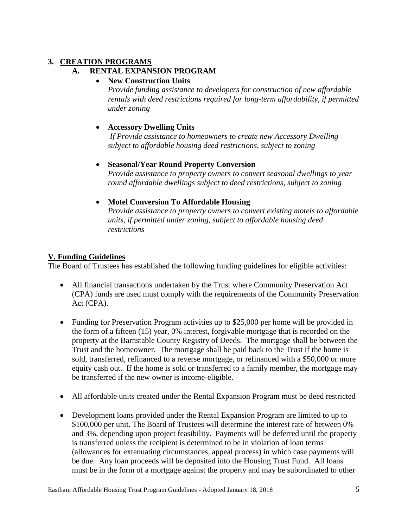# **3. CREATION PROGRAMS**

# **A. RENTAL EXPANSION PROGRAM**

## • **New Construction Units**

*Provide funding assistance to developers for construction of new affordable rentals with deed restrictions required for long-term affordability, if permitted under zoning*

#### • **Accessory Dwelling Units**

*If Provide assistance to homeowners to create new Accessory Dwelling subject to affordable housing deed restrictions, subject to zoning*

#### • **Seasonal/Year Round Property Conversion**

*Provide assistance to property owners to convert seasonal dwellings to year round affordable dwellings subject to deed restrictions, subject to zoning*

#### • **Motel Conversion To Affordable Housing**

*Provide assistance to property owners to convert existing motels to affordable units, if permitted under zoning, subject to affordable housing deed restrictions* 

#### **V. Funding Guidelines**

The Board of Trustees has established the following funding guidelines for eligible activities:

- All financial transactions undertaken by the Trust where Community Preservation Act (CPA) funds are used must comply with the requirements of the Community Preservation Act (CPA).
- Funding for Preservation Program activities up to \$25,000 per home will be provided in the form of a fifteen (15) year, 0% interest, forgivable mortgage that is recorded on the property at the Barnstable County Registry of Deeds. The mortgage shall be between the Trust and the homeowner. The mortgage shall be paid back to the Trust if the home is sold, transferred, refinanced to a reverse mortgage, or refinanced with a \$50,000 or more equity cash out. If the home is sold or transferred to a family member, the mortgage may be transferred if the new owner is income-eligible.
- All affordable units created under the Rental Expansion Program must be deed restricted
- Development loans provided under the Rental Expansion Program are limited to up to \$100,000 per unit. The Board of Trustees will determine the interest rate of between 0% and 3%, depending upon project feasibility. Payments will be deferred until the property is transferred unless the recipient is determined to be in violation of loan terms (allowances for extenuating circumstances, appeal process) in which case payments will be due. Any loan proceeds will be deposited into the Housing Trust Fund. All loans must be in the form of a mortgage against the property and may be subordinated to other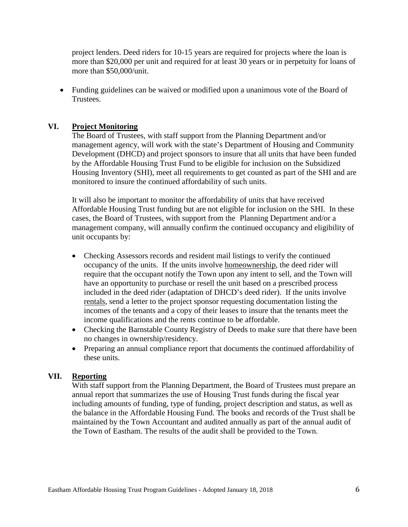project lenders. Deed riders for 10-15 years are required for projects where the loan is more than \$20,000 per unit and required for at least 30 years or in perpetuity for loans of more than \$50,000/unit.

• Funding guidelines can be waived or modified upon a unanimous vote of the Board of Trustees.

#### **VI. Project Monitoring**

The Board of Trustees, with staff support from the Planning Department and/or management agency, will work with the state's Department of Housing and Community Development (DHCD) and project sponsors to insure that all units that have been funded by the Affordable Housing Trust Fund to be eligible for inclusion on the Subsidized Housing Inventory (SHI), meet all requirements to get counted as part of the SHI and are monitored to insure the continued affordability of such units.

It will also be important to monitor the affordability of units that have received Affordable Housing Trust funding but are not eligible for inclusion on the SHI. In these cases, the Board of Trustees, with support from the Planning Department and/or a management company, will annually confirm the continued occupancy and eligibility of unit occupants by:

- Checking Assessors records and resident mail listings to verify the continued occupancy of the units. If the units involve homeownership, the deed rider will require that the occupant notify the Town upon any intent to sell, and the Town will have an opportunity to purchase or resell the unit based on a prescribed process included in the deed rider (adaptation of DHCD's deed rider). If the units involve rentals, send a letter to the project sponsor requesting documentation listing the incomes of the tenants and a copy of their leases to insure that the tenants meet the income qualifications and the rents continue to be affordable.
- Checking the Barnstable County Registry of Deeds to make sure that there have been no changes in ownership/residency.
- Preparing an annual compliance report that documents the continued affordability of these units.

#### **VII. Reporting**

With staff support from the Planning Department, the Board of Trustees must prepare an annual report that summarizes the use of Housing Trust funds during the fiscal year including amounts of funding, type of funding, project description and status, as well as the balance in the Affordable Housing Fund. The books and records of the Trust shall be maintained by the Town Accountant and audited annually as part of the annual audit of the Town of Eastham. The results of the audit shall be provided to the Town.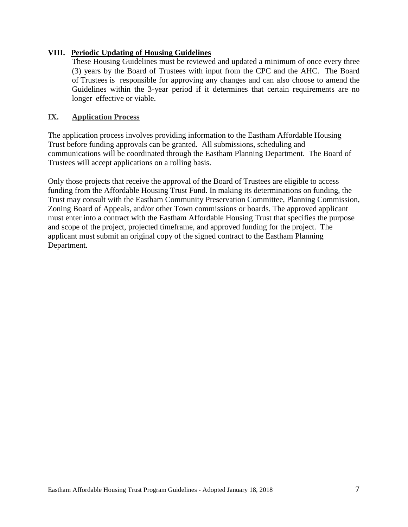#### **VIII. Periodic Updating of Housing Guidelines**

These Housing Guidelines must be reviewed and updated a minimum of once every three (3) years by the Board of Trustees with input from the CPC and the AHC. The Board of Trustees is responsible for approving any changes and can also choose to amend the Guidelines within the 3-year period if it determines that certain requirements are no longer effective or viable.

#### **IX. Application Process**

The application process involves providing information to the Eastham Affordable Housing Trust before funding approvals can be granted. All submissions, scheduling and communications will be coordinated through the Eastham Planning Department. The Board of Trustees will accept applications on a rolling basis.

Only those projects that receive the approval of the Board of Trustees are eligible to access funding from the Affordable Housing Trust Fund. In making its determinations on funding, the Trust may consult with the Eastham Community Preservation Committee, Planning Commission, Zoning Board of Appeals, and/or other Town commissions or boards. The approved applicant must enter into a contract with the Eastham Affordable Housing Trust that specifies the purpose and scope of the project, projected timeframe, and approved funding for the project. The applicant must submit an original copy of the signed contract to the Eastham Planning Department.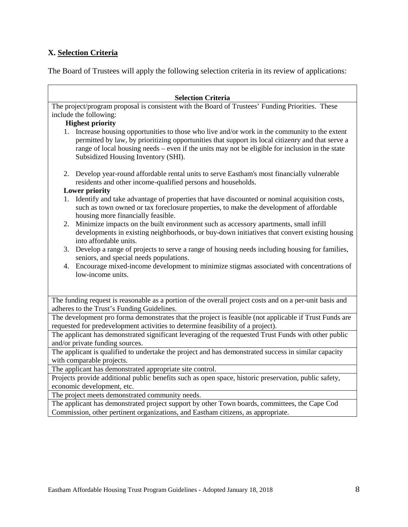#### **X. Selection Criteria**

The Board of Trustees will apply the following selection criteria in its review of applications:

#### **Selection Criteria**

The project/program proposal is consistent with the Board of Trustees' Funding Priorities. These include the following:

#### **Highest priority**

- 1. Increase housing opportunities to those who live and/or work in the community to the extent permitted by law, by prioritizing opportunities that support its local citizenry and that serve a range of local housing needs – even if the units may not be eligible for inclusion in the state Subsidized Housing Inventory (SHI).
- 2. Develop year-round affordable rental units to serve Eastham's most financially vulnerable residents and other income-qualified persons and households.

#### **Lower priority**

- 1. Identify and take advantage of properties that have discounted or nominal acquisition costs, such as town owned or tax foreclosure properties, to make the development of affordable housing more financially feasible.
- 2. Minimize impacts on the built environment such as accessory apartments, small infill developments in existing neighborhoods, or buy-down initiatives that convert existing housing into affordable units.
- 3. Develop a range of projects to serve a range of housing needs including housing for families, seniors, and special needs populations.
- 4. Encourage mixed-income development to minimize stigmas associated with concentrations of low-income units.

The funding request is reasonable as a portion of the overall project costs and on a per-unit basis and adheres to the Trust's Funding Guidelines.

The development pro forma demonstrates that the project is feasible (not applicable if Trust Funds are requested for predevelopment activities to determine feasibility of a project).

The applicant has demonstrated significant leveraging of the requested Trust Funds with other public and/or private funding sources.

The applicant is qualified to undertake the project and has demonstrated success in similar capacity with comparable projects.

The applicant has demonstrated appropriate site control.

Projects provide additional public benefits such as open space, historic preservation, public safety, economic development, etc.

The project meets demonstrated community needs.

The applicant has demonstrated project support by other Town boards, committees, the Cape Cod Commission, other pertinent organizations, and Eastham citizens, as appropriate.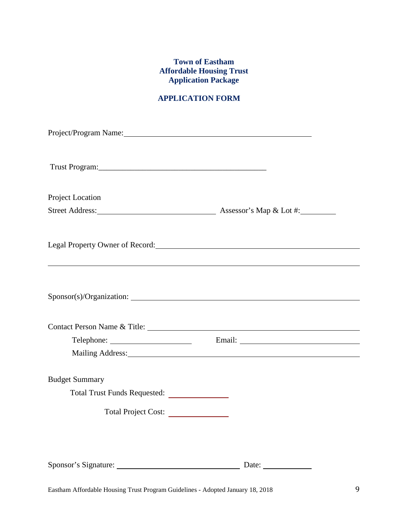## **Town of Eastham Affordable Housing Trust Application Package**

# **APPLICATION FORM**

| Project/Program Name: 1997 Manual Manual Manual Manual Manual Manual Manual Manual Manual Manual Manual Manual |                                   |
|----------------------------------------------------------------------------------------------------------------|-----------------------------------|
|                                                                                                                |                                   |
| Project Location                                                                                               |                                   |
|                                                                                                                |                                   |
| Legal Property Owner of Record: New York Changes and Property Owner of Record:                                 |                                   |
|                                                                                                                |                                   |
| Contact Person Name & Title:                                                                                   |                                   |
|                                                                                                                |                                   |
|                                                                                                                | Mailing Address: Mailing Address: |
| <b>Budget Summary</b>                                                                                          |                                   |
| Total Project Cost:                                                                                            |                                   |
|                                                                                                                | Date: $\_\_$                      |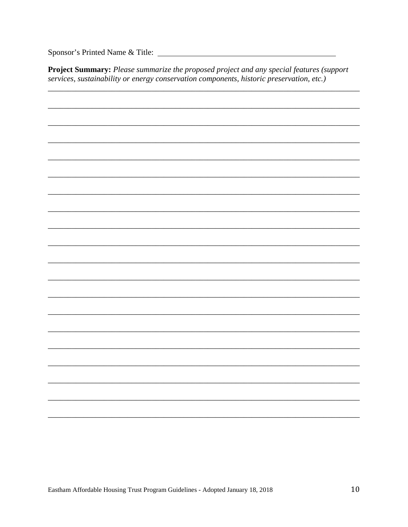Sponsor's Printed Name & Title:

Project Summary: Please summarize the proposed project and any special features (support services, sustainability or energy conservation components, historic preservation, etc.)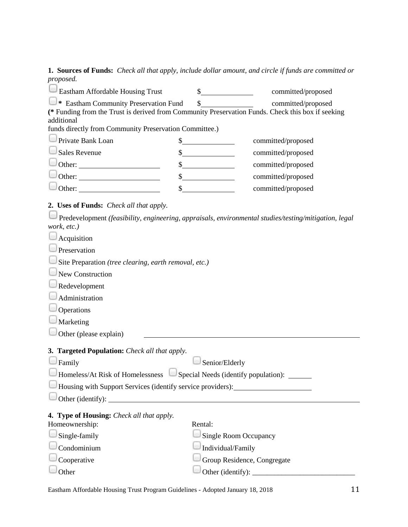**1. Sources of Funds:** *Check all that apply, include dollar amount, and circle if funds are committed or proposed.*

| Eastham Affordable Housing Trust                                                                      | \$                                         | committed/proposed |
|-------------------------------------------------------------------------------------------------------|--------------------------------------------|--------------------|
| * Eastham Community Preservation Fund                                                                 | \$                                         | committed/proposed |
| (* Funding from the Trust is derived from Community Preservation Funds. Check this box if seeking     |                                            |                    |
| additional<br>funds directly from Community Preservation Committee.)                                  |                                            |                    |
| Private Bank Loan                                                                                     |                                            | committed/proposed |
| Sales Revenue                                                                                         | $\frac{\text{S}}{\text{S}}$                | committed/proposed |
|                                                                                                       | $\frac{\text{S}}{\text{S}}$                |                    |
|                                                                                                       |                                            | committed/proposed |
|                                                                                                       | $\int$                                     | committed/proposed |
|                                                                                                       | $\sim$ $\sim$                              | committed/proposed |
| 2. Uses of Funds: Check all that apply.                                                               |                                            |                    |
| Predevelopment (feasibility, engineering, appraisals, environmental studies/testing/mitigation, legal |                                            |                    |
| work, etc.)                                                                                           |                                            |                    |
| Acquisition                                                                                           |                                            |                    |
| Preservation                                                                                          |                                            |                    |
| Site Preparation (tree clearing, earth removal, etc.)                                                 |                                            |                    |
| New Construction                                                                                      |                                            |                    |
| Redevelopment                                                                                         |                                            |                    |
| Administration                                                                                        |                                            |                    |
| Operations                                                                                            |                                            |                    |
| Marketing                                                                                             |                                            |                    |
| Other (please explain)                                                                                |                                            |                    |
|                                                                                                       |                                            |                    |
| 3. Targeted Population: Check all that apply.                                                         |                                            |                    |
| Family                                                                                                | Senior/Elderly                             |                    |
| Homeless/At Risk of Homelessness                                                                      | Special Needs (identify population): _____ |                    |
| Housing with Support Services (identify service providers): ____________________                      |                                            |                    |
| Other (identify):                                                                                     |                                            |                    |
| 4. Type of Housing: Check all that apply.                                                             |                                            |                    |
| Homeownership:                                                                                        | Rental:                                    |                    |
| Single-family                                                                                         | <b>Single Room Occupancy</b>               |                    |
| Condominium                                                                                           | Individual/Family                          |                    |
| Cooperative                                                                                           | Group Residence, Congregate                |                    |
| Other                                                                                                 |                                            |                    |

Eastham Affordable Housing Trust Program Guidelines - Adopted January 18, 2018 11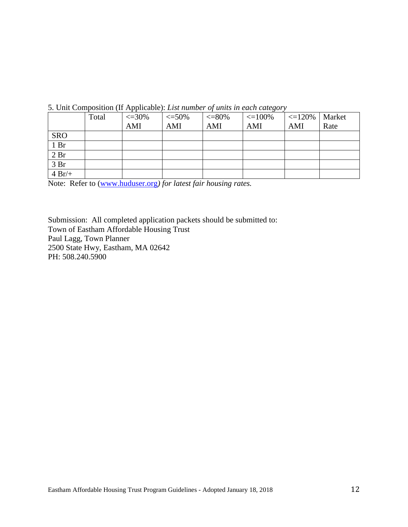|                 | Total | $\epsilon = 30\%$ | $< = 50\%$ | $<=$ $80\%$ | $\vert \langle 100\% \vert \rangle \langle 120\% \vert \rangle$ Market |     |      |
|-----------------|-------|-------------------|------------|-------------|------------------------------------------------------------------------|-----|------|
|                 |       | AMI               | AMI        | AMI         | AMI                                                                    | AMI | Rate |
| <b>SRO</b>      |       |                   |            |             |                                                                        |     |      |
| 1 <sub>Br</sub> |       |                   |            |             |                                                                        |     |      |
| 2 <sub>Br</sub> |       |                   |            |             |                                                                        |     |      |
| 3 Br            |       |                   |            |             |                                                                        |     |      |
| $4 Br/+$        |       |                   |            |             |                                                                        |     |      |

5. Unit Composition (If Applicable): *List number of units in each category*

Note: Refer to [\(www.huduser.org](http://www.huduser.org/)*) for latest fair housing rates.*

Submission: All completed application packets should be submitted to: Town of Eastham Affordable Housing Trust Paul Lagg, Town Planner 2500 State Hwy, Eastham, MA 02642 PH: 508.240.5900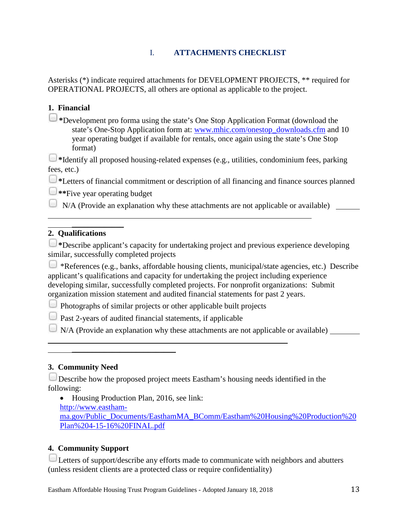# I. **ATTACHMENTS CHECKLIST**

Asterisks (\*) indicate required attachments for DEVELOPMENT PROJECTS, \*\* required for OPERATIONAL PROJECTS, all others are optional as applicable to the project.

# **1. Financial**

**\***Development pro forma using the state's One Stop Application Format (download the state's One-Stop Application form at: [www.mhic.com/onestop\\_downloads.cfm](http://www.mhic.com/onestop_downloads.cfm) and 10 year operating budget if available for rentals, once again using the state's One Stop format)

**\***Identify all proposed housing-related expenses (e.g., utilities, condominium fees, parking fees, etc.)

**\***Letters of financial commitment or description of all financing and finance sources planned

**\*\***Five year operating budget

 $\overline{\phantom{a}}$  , where  $\overline{\phantom{a}}$ 

 $\Box$  N/A (Provide an explanation why these attachments are not applicable or available)  $\Box$ 

#### **2. Qualifications**

 $\Box$ \*Describe applicant's capacity for undertaking project and previous experience developing similar, successfully completed projects

\*References (e.g., banks, affordable housing clients, municipal/state agencies, etc.) Describe applicant's qualifications and capacity for undertaking the project including experience developing similar, successfully completed projects. For nonprofit organizations: Submit organization mission statement and audited financial statements for past 2 years.

Photographs of similar projects or other applicable built projects

Past 2-years of audited financial statements, if applicable

 $\overline{\phantom{a}}$  , where  $\overline{\phantom{a}}$  , where  $\overline{\phantom{a}}$  , where  $\overline{\phantom{a}}$ 

N/A (Provide an explanation why these attachments are not applicable or available)

#### **3. Community Need**

Describe how the proposed project meets Eastham's housing needs identified in the following:

• Housing Production Plan, 2016, see link: [http://www.eastham](http://www.eastham-ma.gov/Public_Documents/EasthamMA_BComm/Eastham%20Housing%20Production%20Plan%204-15-16%20FINAL.pdf)[ma.gov/Public\\_Documents/EasthamMA\\_BComm/Eastham%20Housing%20Production%20](http://www.eastham-ma.gov/Public_Documents/EasthamMA_BComm/Eastham%20Housing%20Production%20Plan%204-15-16%20FINAL.pdf) [Plan%204-15-16%20FINAL.pdf](http://www.eastham-ma.gov/Public_Documents/EasthamMA_BComm/Eastham%20Housing%20Production%20Plan%204-15-16%20FINAL.pdf)

## **4. Community Support**

Letters of support/describe any efforts made to communicate with neighbors and abutters (unless resident clients are a protected class or require confidentiality)